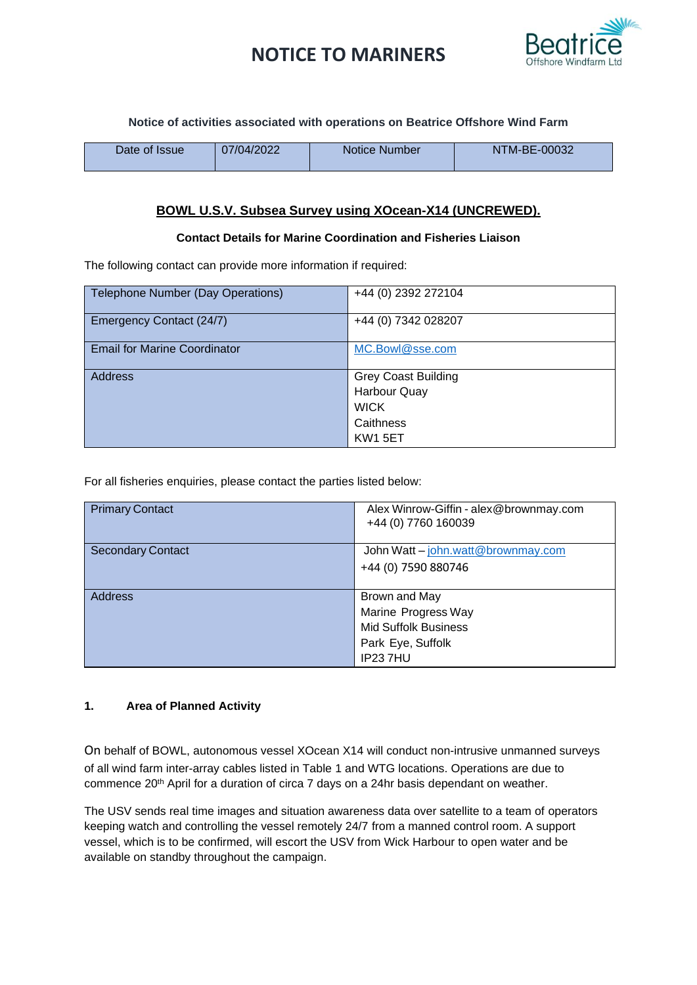# **NOTICE TO MARINERS**



### **Notice of activities associated with operations on Beatrice Offshore Wind Farm**

| Date of Issue | 07/04/2022 | Notice Number | NTM-BE-00032 |
|---------------|------------|---------------|--------------|
|               |            |               |              |

### **BOWL U.S.V. Subsea Survey using XOcean-X14 (UNCREWED).**

#### **Contact Details for Marine Coordination and Fisheries Liaison**

The following contact can provide more information if required:

| Telephone Number (Day Operations)   | +44 (0) 2392 272104        |
|-------------------------------------|----------------------------|
| Emergency Contact (24/7)            | +44 (0) 7342 028207        |
| <b>Email for Marine Coordinator</b> | MC.Bowl@sse.com            |
| <b>Address</b>                      | <b>Grey Coast Building</b> |
|                                     | <b>Harbour Quay</b>        |
|                                     | <b>WICK</b>                |
|                                     | Caithness                  |
|                                     | <b>KW1 5ET</b>             |

For all fisheries enquiries, please contact the parties listed below:

| <b>Primary Contact</b>   | Alex Winrow-Giffin - alex@brownmay.com<br>+44 (0) 7760 160039 |
|--------------------------|---------------------------------------------------------------|
| <b>Secondary Contact</b> | John Watt - john.watt@brownmay.com                            |
|                          | +44 (0) 7590 880746                                           |
|                          |                                                               |
| <b>Address</b>           | Brown and May                                                 |
|                          | Marine Progress Way                                           |
|                          | <b>Mid Suffolk Business</b>                                   |
|                          | Park Eye, Suffolk                                             |
|                          | IP237HU                                                       |

### **1. Area of Planned Activity**

On behalf of BOWL, autonomous vessel XOcean X14 will conduct non-intrusive unmanned surveys of all wind farm inter-array cables listed in Table 1 and WTG locations. Operations are due to commence 20th April for a duration of circa 7 days on a 24hr basis dependant on weather.

The USV sends real time images and situation awareness data over satellite to a team of operators keeping watch and controlling the vessel remotely 24/7 from a manned control room. A support vessel, which is to be confirmed, will escort the USV from Wick Harbour to open water and be available on standby throughout the campaign.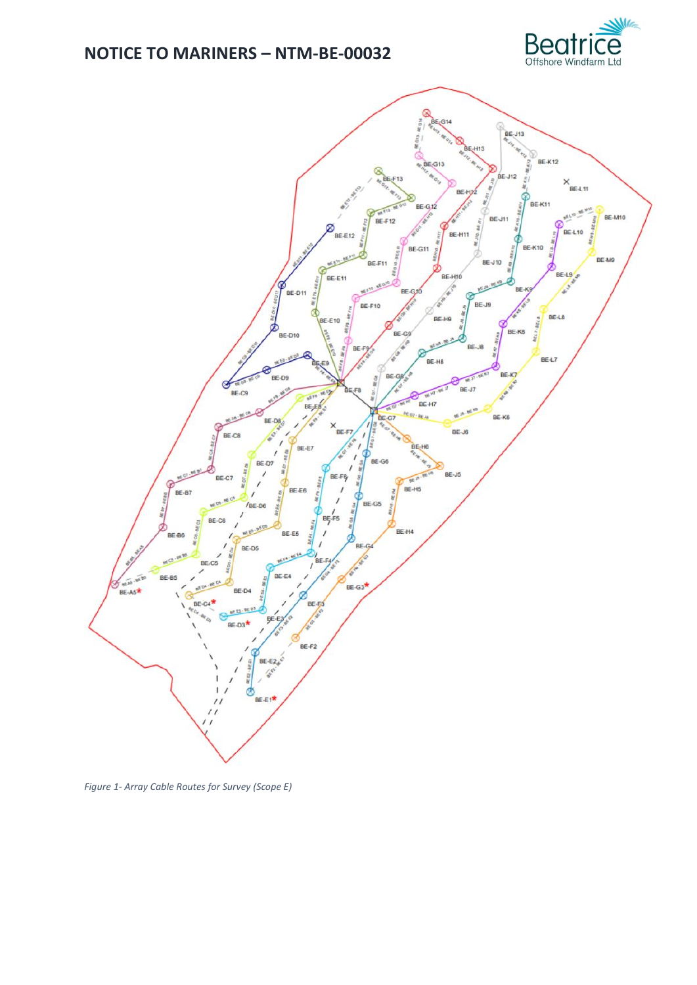



*Figure 1- Array Cable Routes for Survey (Scope E)*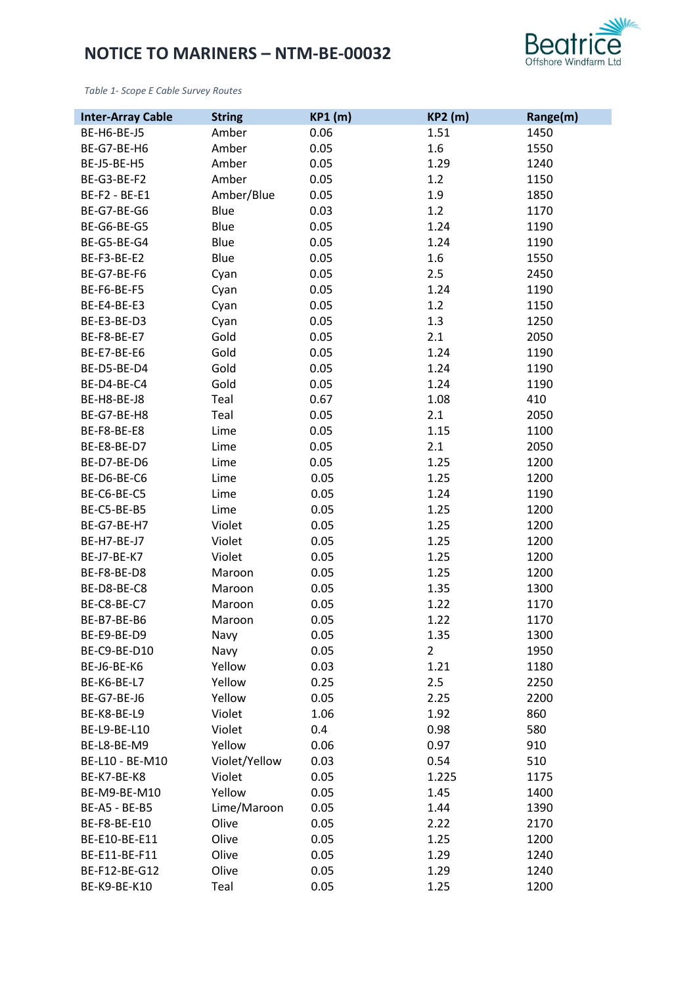

*Table 1- Scope E Cable Survey Routes*

| <b>Inter-Array Cable</b> | <b>String</b> | <b>KP1 (m)</b> | <b>KP2 (m)</b> | Range(m) |
|--------------------------|---------------|----------------|----------------|----------|
| BE-H6-BE-J5              | Amber         | 0.06           | 1.51           | 1450     |
| BE-G7-BE-H6              | Amber         | 0.05           | 1.6            | 1550     |
| BE-J5-BE-H5              | Amber         | 0.05           | 1.29           | 1240     |
| BE-G3-BE-F2              | Amber         | 0.05           | 1.2            | 1150     |
| BE-F2 - BE-E1            | Amber/Blue    | 0.05           | 1.9            | 1850     |
| BE-G7-BE-G6              | Blue          | 0.03           | 1.2            | 1170     |
| BE-G6-BE-G5              | Blue          | 0.05           | 1.24           | 1190     |
| BE-G5-BE-G4              | Blue          | 0.05           | 1.24           | 1190     |
| BE-F3-BE-E2              | Blue          | 0.05           | 1.6            | 1550     |
| BE-G7-BE-F6              | Cyan          | 0.05           | 2.5            | 2450     |
| BE-F6-BE-F5              | Cyan          | 0.05           | 1.24           | 1190     |
| BE-E4-BE-E3              | Cyan          | 0.05           | 1.2            | 1150     |
| BE-E3-BE-D3              | Cyan          | 0.05           | 1.3            | 1250     |
| BE-F8-BE-E7              | Gold          | 0.05           | 2.1            | 2050     |
| BE-E7-BE-E6              | Gold          | 0.05           | 1.24           | 1190     |
| BE-D5-BE-D4              | Gold          | 0.05           | 1.24           | 1190     |
| BE-D4-BE-C4              | Gold          | 0.05           | 1.24           | 1190     |
| BE-H8-BE-J8              | Teal          | 0.67           | 1.08           | 410      |
| BE-G7-BE-H8              | Teal          | 0.05           | 2.1            | 2050     |
| BE-F8-BE-E8              | Lime          | 0.05           | 1.15           | 1100     |
| BE-E8-BE-D7              | Lime          | 0.05           | 2.1            | 2050     |
| BE-D7-BE-D6              | Lime          | 0.05           | 1.25           | 1200     |
| BE-D6-BE-C6              | Lime          | 0.05           | 1.25           | 1200     |
| BE-C6-BE-C5              | Lime          | 0.05           | 1.24           | 1190     |
| BE-C5-BE-B5              | Lime          | 0.05           | 1.25           | 1200     |
| BE-G7-BE-H7              | Violet        | 0.05           | 1.25           | 1200     |
| BE-H7-BE-J7              | Violet        | 0.05           | 1.25           | 1200     |
| BE-J7-BE-K7              | Violet        | 0.05           | 1.25           | 1200     |
| BE-F8-BE-D8              | Maroon        | 0.05           | 1.25           | 1200     |
| BE-D8-BE-C8              | Maroon        | 0.05           | 1.35           | 1300     |
| BE-C8-BE-C7              | Maroon        | 0.05           | 1.22           | 1170     |
| BE-B7-BE-B6              | Maroon        | 0.05           | 1.22           | 1170     |
| BE-E9-BE-D9              | Navy          | 0.05           | 1.35           | 1300     |
| BE-C9-BE-D10             | Navy          | 0.05           | $\overline{2}$ | 1950     |
| BE-J6-BE-K6              | Yellow        | 0.03           | 1.21           | 1180     |
| BE-K6-BE-L7              | Yellow        | 0.25           | 2.5            | 2250     |
| <b>BE-G7-BE-J6</b>       | Yellow        | 0.05           | 2.25           | 2200     |
| BE-K8-BE-L9              | Violet        | 1.06           | 1.92           | 860      |
| BE-L9-BE-L10             | Violet        | 0.4            | 0.98           | 580      |
| BE-L8-BE-M9              | Yellow        | 0.06           | 0.97           | 910      |
| BE-L10 - BE-M10          | Violet/Yellow | 0.03           | 0.54           | 510      |
| BE-K7-BE-K8              | Violet        | 0.05           | 1.225          | 1175     |
| BE-M9-BE-M10             | Yellow        | 0.05           | 1.45           | 1400     |
| BE-A5 - BE-B5            | Lime/Maroon   | 0.05           | 1.44           | 1390     |
| BE-F8-BE-E10             | Olive         | 0.05           | 2.22           | 2170     |
| BE-E10-BE-E11            | Olive         | 0.05           | 1.25           | 1200     |
| BE-E11-BE-F11            | Olive         | 0.05           | 1.29           | 1240     |
| BE-F12-BE-G12            | Olive         | 0.05           | 1.29           | 1240     |
| BE-K9-BE-K10             | Teal          | 0.05           | 1.25           | 1200     |
|                          |               |                |                |          |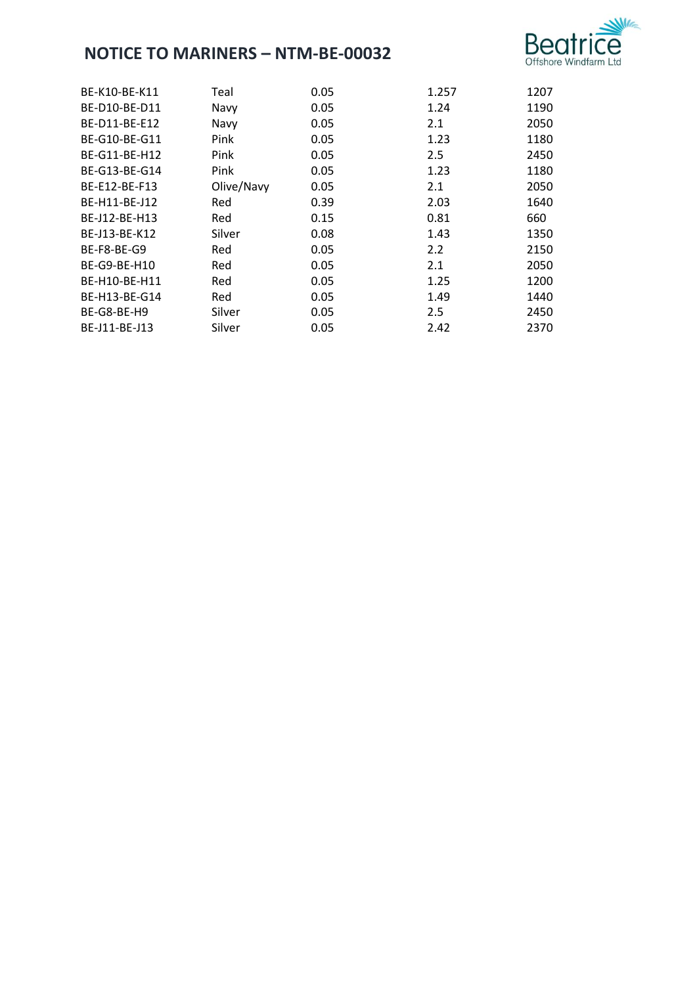

| BE-K10-BE-K11 | Teal       | 0.05 | 1.257 | 1207 |
|---------------|------------|------|-------|------|
| BE-D10-BE-D11 | Navy       | 0.05 | 1.24  | 1190 |
| BE-D11-BE-E12 | Navy       | 0.05 | 2.1   | 2050 |
| BE-G10-BE-G11 | Pink       | 0.05 | 1.23  | 1180 |
| BE-G11-BE-H12 | Pink       | 0.05 | 2.5   | 2450 |
| BE-G13-BE-G14 | Pink       | 0.05 | 1.23  | 1180 |
| BE-E12-BE-F13 | Olive/Navy | 0.05 | 2.1   | 2050 |
| BE-H11-BE-J12 | Red        | 0.39 | 2.03  | 1640 |
| BE-J12-BE-H13 | Red        | 0.15 | 0.81  | 660  |
| BE-J13-BE-K12 | Silver     | 0.08 | 1.43  | 1350 |
| BE-F8-BE-G9   | Red        | 0.05 | 2.2   | 2150 |
| BE-G9-BE-H10  | Red        | 0.05 | 2.1   | 2050 |
| BE-H10-BE-H11 | Red        | 0.05 | 1.25  | 1200 |
| BE-H13-BE-G14 | Red        | 0.05 | 1.49  | 1440 |
| BE-G8-BE-H9   | Silver     | 0.05 | 2.5   | 2450 |
| BE-J11-BE-J13 | Silver     | 0.05 | 2.42  | 2370 |
|               |            |      |       |      |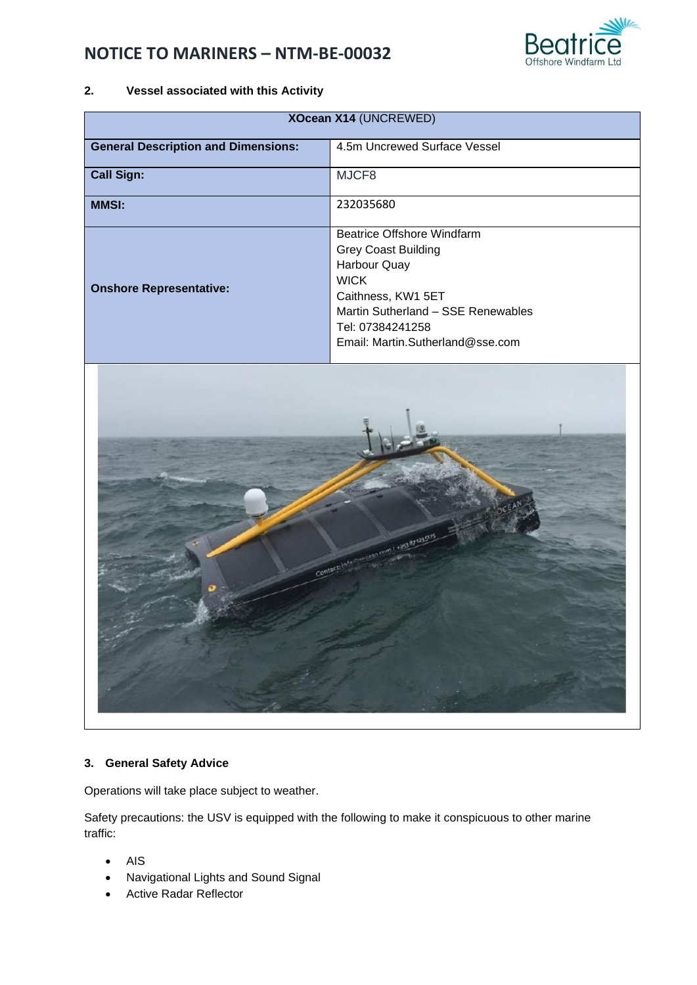

## **2. Vessel associated with this Activity**

| <b>XOcean X14 (UNCREWED)</b>               |                                                                                                                                                                                |  |
|--------------------------------------------|--------------------------------------------------------------------------------------------------------------------------------------------------------------------------------|--|
| <b>General Description and Dimensions:</b> | 4.5m Uncrewed Surface Vessel                                                                                                                                                   |  |
| <b>Call Sign:</b>                          | MJCF8                                                                                                                                                                          |  |
| <b>MMSI:</b>                               | 232035680                                                                                                                                                                      |  |
| <b>Onshore Representative:</b>             | Beatrice Offshore Windfarm<br><b>Grey Coast Building</b><br><b>Harbour Quay</b><br><b>WICK</b><br>Caithness, KW1 5ET<br>Martin Sutherland - SSE Renewables<br>Tel: 07384241258 |  |
|                                            | Email: Martin.Sutherland@sse.com                                                                                                                                               |  |



### **3. General Safety Advice**

Operations will take place subject to weather.

Safety precautions: the USV is equipped with the following to make it conspicuous to other marine traffic:

- AIS
- Navigational Lights and Sound Signal
- Active Radar Reflector